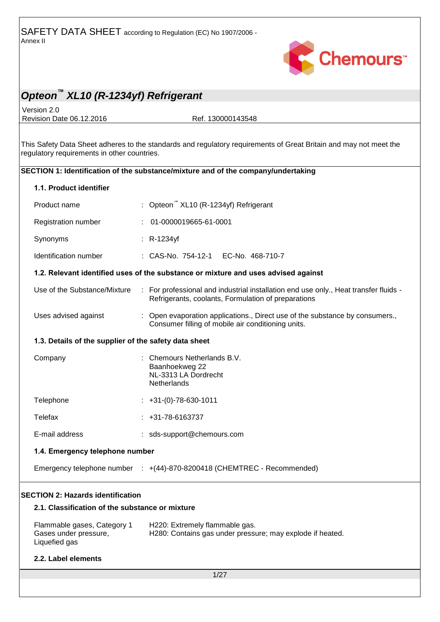

Version 2.0 Revision Date 06.12.2016 Ref. 130000143548

This Safety Data Sheet adheres to the standards and regulatory requirements of Great Britain and may not meet the regulatory requirements in other countries.

### **SECTION 1: Identification of the substance/mixture and of the company/undertaking**

|                                          | 1.1. Product identifier                                               |  |                                                                                                                                             |  |
|------------------------------------------|-----------------------------------------------------------------------|--|---------------------------------------------------------------------------------------------------------------------------------------------|--|
|                                          | Product name                                                          |  | : Opteon XL10 (R-1234yf) Refrigerant                                                                                                        |  |
|                                          | Registration number                                                   |  | 01-0000019665-61-0001                                                                                                                       |  |
|                                          | Synonyms                                                              |  | $: R-1234$ yf                                                                                                                               |  |
|                                          | Identification number                                                 |  | : CAS-No. 754-12-1    EC-No. 468-710-7                                                                                                      |  |
|                                          |                                                                       |  | 1.2. Relevant identified uses of the substance or mixture and uses advised against                                                          |  |
|                                          | Use of the Substance/Mixture                                          |  | : For professional and industrial installation end use only., Heat transfer fluids -<br>Refrigerants, coolants, Formulation of preparations |  |
|                                          | Uses advised against                                                  |  | Open evaporation applications., Direct use of the substance by consumers.,<br>Consumer filling of mobile air conditioning units.            |  |
|                                          | 1.3. Details of the supplier of the safety data sheet                 |  |                                                                                                                                             |  |
|                                          | Company                                                               |  | Chemours Netherlands B.V.<br>Baanhoekweg 22<br>NL-3313 LA Dordrecht<br>Netherlands                                                          |  |
|                                          | Telephone                                                             |  | $\div$ +31-(0)-78-630-1011                                                                                                                  |  |
|                                          | Telefax                                                               |  | $: +31-78-6163737$                                                                                                                          |  |
|                                          | E-mail address                                                        |  | : sds-support@chemours.com                                                                                                                  |  |
|                                          | 1.4. Emergency telephone number                                       |  |                                                                                                                                             |  |
|                                          |                                                                       |  | Emergency telephone number : +(44)-870-8200418 (CHEMTREC - Recommended)                                                                     |  |
| <b>SECTION 2: Hazards identification</b> |                                                                       |  |                                                                                                                                             |  |
|                                          | 2.1. Classification of the substance or mixture                       |  |                                                                                                                                             |  |
|                                          | Flammable gases, Category 1<br>Gases under pressure,<br>Liquefied gas |  | H220: Extremely flammable gas.<br>H280: Contains gas under pressure; may explode if heated.                                                 |  |
|                                          | 2.2. Label elements                                                   |  |                                                                                                                                             |  |
|                                          | 1/27                                                                  |  |                                                                                                                                             |  |
|                                          |                                                                       |  |                                                                                                                                             |  |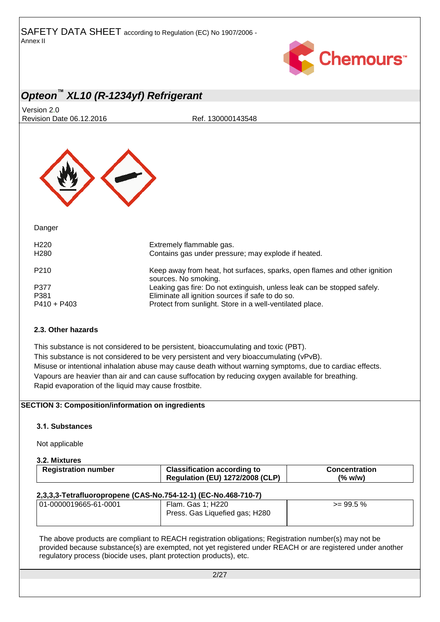

Version 2.0 Revision Date 06.12.2016 Ref. 130000143548



Danger

| Extremely flammable gas.<br>Contains gas under pressure; may explode if heated.                                                                                                         |
|-----------------------------------------------------------------------------------------------------------------------------------------------------------------------------------------|
| Keep away from heat, hot surfaces, sparks, open flames and other ignition<br>sources. No smoking.                                                                                       |
| Leaking gas fire: Do not extinguish, unless leak can be stopped safely.<br>Eliminate all ignition sources if safe to do so.<br>Protect from sunlight. Store in a well-ventilated place. |
|                                                                                                                                                                                         |

#### **2.3. Other hazards**

This substance is not considered to be persistent, bioaccumulating and toxic (PBT). This substance is not considered to be very persistent and very bioaccumulating (vPvB). Misuse or intentional inhalation abuse may cause death without warning symptoms, due to cardiac effects. Vapours are heavier than air and can cause suffocation by reducing oxygen available for breathing. Rapid evaporation of the liquid may cause frostbite.

#### **SECTION 3: Composition/information on ingredients**

#### **3.1. Substances**

Not applicable

#### **3.2. Mixtures**

| <b>Registration number</b> | <b>Classification according to</b>     | <b>Concentration</b> |
|----------------------------|----------------------------------------|----------------------|
|                            | <b>Regulation (EU) 1272/2008 (CLP)</b> | $(\%$ w/w)           |

#### **2,3,3,3-Tetrafluoropropene (CAS-No.754-12-1) (EC-No.468-710-7)**

| 01-0000019665-61-0001 | Flam. Gas 1; H220              | $>= 99.5 %$ |
|-----------------------|--------------------------------|-------------|
|                       | Press. Gas Liquefied gas; H280 |             |
|                       |                                |             |

The above products are compliant to REACH registration obligations; Registration number(s) may not be provided because substance(s) are exempted, not yet registered under REACH or are registered under another regulatory process (biocide uses, plant protection products), etc.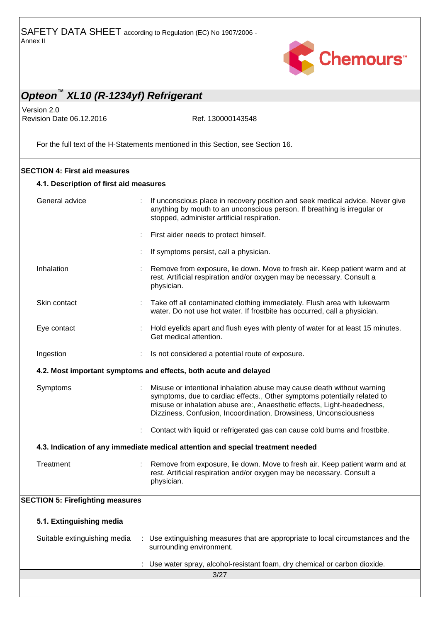

Version 2.0 Revision Date 06.12.2016 Ref. 130000143548

For the full text of the H-Statements mentioned in this Section, see Section 16.

#### **SECTION 4: First aid measures**

#### **4.1. Description of first aid measures**

| General advice                          |                              | If unconscious place in recovery position and seek medical advice. Never give<br>anything by mouth to an unconscious person. If breathing is irregular or<br>stopped, administer artificial respiration.                                                                                           |  |
|-----------------------------------------|------------------------------|----------------------------------------------------------------------------------------------------------------------------------------------------------------------------------------------------------------------------------------------------------------------------------------------------|--|
|                                         |                              | First aider needs to protect himself.                                                                                                                                                                                                                                                              |  |
|                                         |                              | If symptoms persist, call a physician.                                                                                                                                                                                                                                                             |  |
| Inhalation                              |                              | Remove from exposure, lie down. Move to fresh air. Keep patient warm and at<br>rest. Artificial respiration and/or oxygen may be necessary. Consult a<br>physician.                                                                                                                                |  |
| Skin contact                            |                              | Take off all contaminated clothing immediately. Flush area with lukewarm<br>water. Do not use hot water. If frostbite has occurred, call a physician.                                                                                                                                              |  |
| Eye contact                             |                              | Hold eyelids apart and flush eyes with plenty of water for at least 15 minutes.<br>Get medical attention.                                                                                                                                                                                          |  |
| Ingestion                               |                              | Is not considered a potential route of exposure.                                                                                                                                                                                                                                                   |  |
|                                         |                              | 4.2. Most important symptoms and effects, both acute and delayed                                                                                                                                                                                                                                   |  |
| Symptoms                                |                              | Misuse or intentional inhalation abuse may cause death without warning<br>symptoms, due to cardiac effects., Other symptoms potentially related to<br>misuse or inhalation abuse are:, Anaesthetic effects, Light-headedness,<br>Dizziness, Confusion, Incoordination, Drowsiness, Unconsciousness |  |
|                                         |                              | Contact with liquid or refrigerated gas can cause cold burns and frostbite.                                                                                                                                                                                                                        |  |
|                                         |                              | 4.3. Indication of any immediate medical attention and special treatment needed                                                                                                                                                                                                                    |  |
| Treatment                               |                              | Remove from exposure, lie down. Move to fresh air. Keep patient warm and at<br>rest. Artificial respiration and/or oxygen may be necessary. Consult a<br>physician.                                                                                                                                |  |
| <b>SECTION 5: Firefighting measures</b> |                              |                                                                                                                                                                                                                                                                                                    |  |
| 5.1. Extinguishing media                |                              |                                                                                                                                                                                                                                                                                                    |  |
|                                         | Suitable extinguishing media | : Use extinguishing measures that are appropriate to local circumstances and the<br>surrounding environment.                                                                                                                                                                                       |  |
|                                         |                              | Use water spray, alcohol-resistant foam, dry chemical or carbon dioxide.                                                                                                                                                                                                                           |  |
|                                         |                              | 3/27                                                                                                                                                                                                                                                                                               |  |
|                                         |                              |                                                                                                                                                                                                                                                                                                    |  |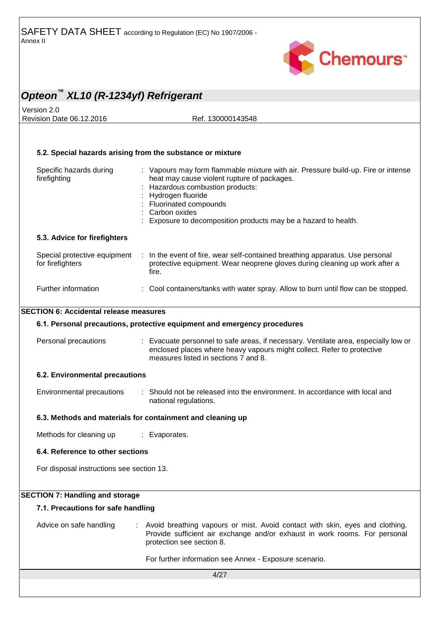

### *Opteon™ XL10 (R-1234yf) Refrigerant* Version 2.0 Revision Date 06.12.2016 Ref. 130000143548 4/27 **5.2. Special hazards arising from the substance or mixture** Specific hazards during firefighting : Vapours may form flammable mixture with air. Pressure build-up. Fire or intense heat may cause violent rupture of packages. : Hazardous combustion products: : Hydrogen fluoride : Fluorinated compounds : Carbon oxides : Exposure to decomposition products may be a hazard to health. **5.3. Advice for firefighters** Special protective equipment for firefighters : In the event of fire, wear self-contained breathing apparatus. Use personal protective equipment. Wear neoprene gloves during cleaning up work after a fire. Further information : Cool containers/tanks with water spray. Allow to burn until flow can be stopped. **SECTION 6: Accidental release measures 6.1. Personal precautions, protective equipment and emergency procedures** Personal precautions : Evacuate personnel to safe areas, if necessary. Ventilate area, especially low or enclosed places where heavy vapours might collect. Refer to protective measures listed in sections 7 and 8. **6.2. Environmental precautions** Environmental precautions : Should not be released into the environment. In accordance with local and national regulations. **6.3. Methods and materials for containment and cleaning up** Methods for cleaning up : Evaporates. **6.4. Reference to other sections** For disposal instructions see section 13. **SECTION 7: Handling and storage 7.1. Precautions for safe handling** Advice on safe handling : Avoid breathing vapours or mist. Avoid contact with skin, eyes and clothing. Provide sufficient air exchange and/or exhaust in work rooms. For personal protection see section 8. For further information see Annex - Exposure scenario.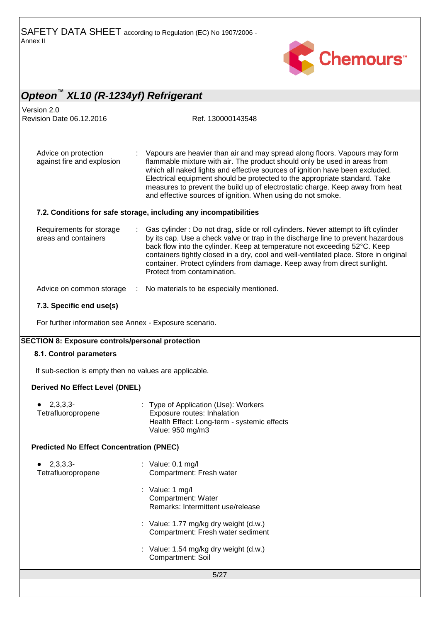

| Opteon™ XL10 (R-1234yf) Refrigerant                     |                                                                                                                                                                                                                                                                                                                                                                                                                                                                       |  |  |
|---------------------------------------------------------|-----------------------------------------------------------------------------------------------------------------------------------------------------------------------------------------------------------------------------------------------------------------------------------------------------------------------------------------------------------------------------------------------------------------------------------------------------------------------|--|--|
| Version 2.0                                             |                                                                                                                                                                                                                                                                                                                                                                                                                                                                       |  |  |
| Revision Date 06.12.2016                                | Ref. 130000143548                                                                                                                                                                                                                                                                                                                                                                                                                                                     |  |  |
| Advice on protection<br>against fire and explosion      | Vapours are heavier than air and may spread along floors. Vapours may form<br>flammable mixture with air. The product should only be used in areas from<br>which all naked lights and effective sources of ignition have been excluded.<br>Electrical equipment should be protected to the appropriate standard. Take<br>measures to prevent the build up of electrostatic charge. Keep away from heat<br>and effective sources of ignition. When using do not smoke. |  |  |
|                                                         | 7.2. Conditions for safe storage, including any incompatibilities                                                                                                                                                                                                                                                                                                                                                                                                     |  |  |
| Requirements for storage<br>areas and containers        | Gas cylinder: Do not drag, slide or roll cylinders. Never attempt to lift cylinder<br>by its cap. Use a check valve or trap in the discharge line to prevent hazardous<br>back flow into the cylinder. Keep at temperature not exceeding 52°C. Keep<br>containers tightly closed in a dry, cool and well-ventilated place. Store in original<br>container. Protect cylinders from damage. Keep away from direct sunlight.<br>Protect from contamination.              |  |  |
| Advice on common storage                                | : No materials to be especially mentioned.                                                                                                                                                                                                                                                                                                                                                                                                                            |  |  |
| 7.3. Specific end use(s)                                |                                                                                                                                                                                                                                                                                                                                                                                                                                                                       |  |  |
| For further information see Annex - Exposure scenario.  |                                                                                                                                                                                                                                                                                                                                                                                                                                                                       |  |  |
| <b>SECTION 8: Exposure controls/personal protection</b> |                                                                                                                                                                                                                                                                                                                                                                                                                                                                       |  |  |
| 8.1. Control parameters                                 |                                                                                                                                                                                                                                                                                                                                                                                                                                                                       |  |  |
| If sub-section is empty then no values are applicable.  |                                                                                                                                                                                                                                                                                                                                                                                                                                                                       |  |  |
| <b>Derived No Effect Level (DNEL)</b>                   |                                                                                                                                                                                                                                                                                                                                                                                                                                                                       |  |  |
| $2,3,3,3-$<br>Tetrafluoropropene                        | : Type of Application (Use): Workers<br>Exposure routes: Inhalation<br>Health Effect: Long-term - systemic effects<br>Value: 950 mg/m3                                                                                                                                                                                                                                                                                                                                |  |  |
| <b>Predicted No Effect Concentration (PNEC)</b>         |                                                                                                                                                                                                                                                                                                                                                                                                                                                                       |  |  |
| 2,3,3,3<br>Tetrafluoropropene                           | : Value: $0.1 \text{ mg/l}$<br>Compartment: Fresh water                                                                                                                                                                                                                                                                                                                                                                                                               |  |  |
|                                                         | : Value: 1 mg/l<br>Compartment: Water<br>Remarks: Intermittent use/release                                                                                                                                                                                                                                                                                                                                                                                            |  |  |
|                                                         | : Value: 1.77 mg/kg dry weight (d.w.)<br>Compartment: Fresh water sediment                                                                                                                                                                                                                                                                                                                                                                                            |  |  |
|                                                         | : Value: 1.54 mg/kg dry weight (d.w.)<br>Compartment: Soil                                                                                                                                                                                                                                                                                                                                                                                                            |  |  |
| 5/27                                                    |                                                                                                                                                                                                                                                                                                                                                                                                                                                                       |  |  |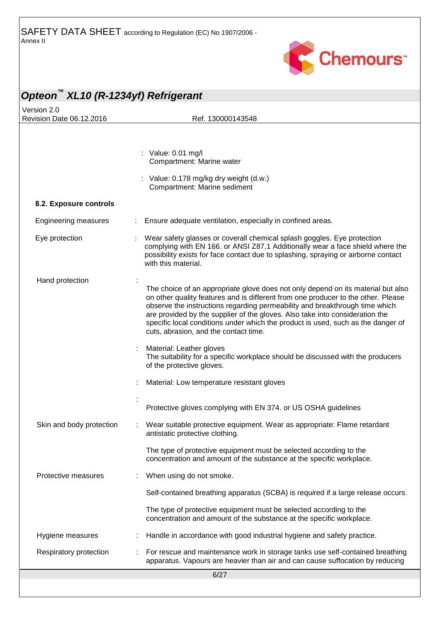

| Opteon <sup>™</sup> XL10 (R-1234yf) Refrigerant |                                                                                                                                                                                                                                                                                                                                                                                                                                                                   |
|-------------------------------------------------|-------------------------------------------------------------------------------------------------------------------------------------------------------------------------------------------------------------------------------------------------------------------------------------------------------------------------------------------------------------------------------------------------------------------------------------------------------------------|
| Version 2.0<br>Revision Date 06.12.2016         | Ref. 130000143548                                                                                                                                                                                                                                                                                                                                                                                                                                                 |
|                                                 |                                                                                                                                                                                                                                                                                                                                                                                                                                                                   |
|                                                 | : Value: 0.01 mg/l<br>Compartment: Marine water                                                                                                                                                                                                                                                                                                                                                                                                                   |
|                                                 | : Value: 0.178 mg/kg dry weight (d.w.)<br>Compartment: Marine sediment                                                                                                                                                                                                                                                                                                                                                                                            |
| 8.2. Exposure controls                          |                                                                                                                                                                                                                                                                                                                                                                                                                                                                   |
| <b>Engineering measures</b>                     | Ensure adequate ventilation, especially in confined areas.                                                                                                                                                                                                                                                                                                                                                                                                        |
| Eye protection                                  | Wear safety glasses or coverall chemical splash goggles. Eye protection<br>complying with EN 166. or ANSI Z87.1 Additionally wear a face shield where the<br>possibility exists for face contact due to splashing, spraying or airborne contact<br>with this material.                                                                                                                                                                                            |
| Hand protection                                 | The choice of an appropriate glove does not only depend on its material but also<br>on other quality features and is different from one producer to the other. Please<br>observe the instructions regarding permeability and breakthrough time which<br>are provided by the supplier of the gloves. Also take into consideration the<br>specific local conditions under which the product is used, such as the danger of<br>cuts, abrasion, and the contact time. |
|                                                 | Material: Leather gloves<br>The suitability for a specific workplace should be discussed with the producers<br>of the protective gloves.                                                                                                                                                                                                                                                                                                                          |
|                                                 | Material: Low temperature resistant gloves                                                                                                                                                                                                                                                                                                                                                                                                                        |
|                                                 | Protective gloves complying with EN 374. or US OSHA guidelines                                                                                                                                                                                                                                                                                                                                                                                                    |
| Skin and body protection                        | Wear suitable protective equipment. Wear as appropriate: Flame retardant<br>antistatic protective clothing.                                                                                                                                                                                                                                                                                                                                                       |
|                                                 | The type of protective equipment must be selected according to the<br>concentration and amount of the substance at the specific workplace.                                                                                                                                                                                                                                                                                                                        |
| Protective measures                             | When using do not smoke.                                                                                                                                                                                                                                                                                                                                                                                                                                          |
|                                                 | Self-contained breathing apparatus (SCBA) is required if a large release occurs.                                                                                                                                                                                                                                                                                                                                                                                  |
|                                                 | The type of protective equipment must be selected according to the<br>concentration and amount of the substance at the specific workplace.                                                                                                                                                                                                                                                                                                                        |
| Hygiene measures                                | Handle in accordance with good industrial hygiene and safety practice.                                                                                                                                                                                                                                                                                                                                                                                            |
| Respiratory protection                          | For rescue and maintenance work in storage tanks use self-contained breathing<br>apparatus. Vapours are heavier than air and can cause suffocation by reducing                                                                                                                                                                                                                                                                                                    |
|                                                 | 6/27                                                                                                                                                                                                                                                                                                                                                                                                                                                              |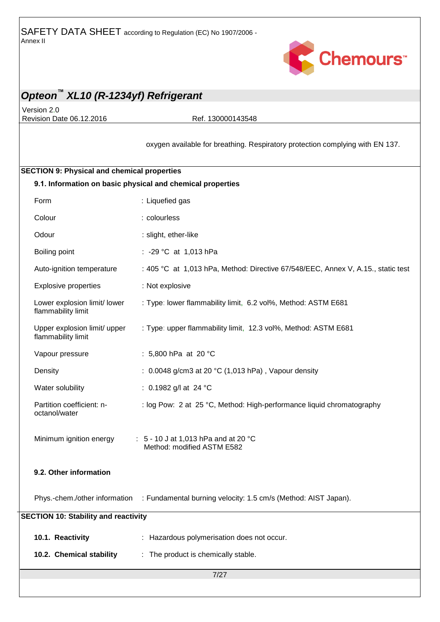

Version 2.0 Revision Date 06.12.2016 Ref. 130000143548

oxygen available for breathing. Respiratory protection complying with EN 137.

# 7/27 **SECTION 9: Physical and chemical properties 9.1. Information on basic physical and chemical properties** Form : Liquefied gas Colour : colourless Odour : slight, ether-like Boiling point : -29 °C at 1,013 hPa Auto-ignition temperature : 405 °C at 1,013 hPa, Method: Directive 67/548/EEC, Annex V, A.15., static test Explosive properties : Not explosive Lower explosion limit/ lower flammability limit : Type: lower flammability limit, 6.2 vol%, Method: ASTM E681 Upper explosion limit/ upper flammability limit : Type: upper flammability limit, 12.3 vol%, Method: ASTM E681 Vapour pressure : 5,800 hPa at 20 °C Density **Density** : 0.0048 g/cm3 at 20 °C (1,013 hPa), Vapour density Water solubility : 0.1982 g/l at 24 °C Partition coefficient: noctanol/water : log Pow: 2 at 25 °C, Method: High-performance liquid chromatography Minimum ignition energy : 5 - 10 J at 1,013 hPa and at 20 °C Method: modified ASTM E582 **9.2. Other information** Phys.-chem./other information : Fundamental burning velocity: 1.5 cm/s (Method: AIST Japan). **SECTION 10: Stability and reactivity 10.1. Reactivity** : Hazardous polymerisation does not occur. **10.2. Chemical stability** : The product is chemically stable.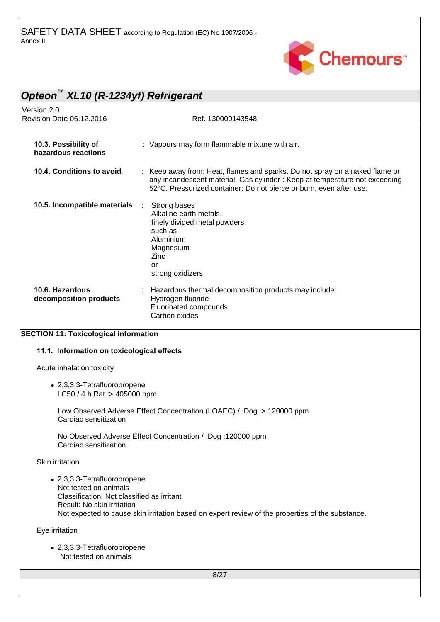

| Opteon <sup>™</sup> XL10 (R-1234yf) Refrigerant                                                                                                                                                                                       |                                                                                                                                                                                                                                 |  |
|---------------------------------------------------------------------------------------------------------------------------------------------------------------------------------------------------------------------------------------|---------------------------------------------------------------------------------------------------------------------------------------------------------------------------------------------------------------------------------|--|
| Version 2.0                                                                                                                                                                                                                           |                                                                                                                                                                                                                                 |  |
| Revision Date 06.12.2016                                                                                                                                                                                                              | Ref. 130000143548                                                                                                                                                                                                               |  |
| 10.3. Possibility of<br>hazardous reactions                                                                                                                                                                                           | : Vapours may form flammable mixture with air.                                                                                                                                                                                  |  |
| 10.4. Conditions to avoid                                                                                                                                                                                                             | Keep away from: Heat, flames and sparks. Do not spray on a naked flame or<br>any incandescent material. Gas cylinder : Keep at temperature not exceeding<br>52°C. Pressurized container: Do not pierce or burn, even after use. |  |
| 10.5. Incompatible materials                                                                                                                                                                                                          | Strong bases<br>÷<br>Alkaline earth metals<br>finely divided metal powders<br>such as<br>Aluminium<br>Magnesium<br>Zinc<br>or<br>strong oxidizers                                                                               |  |
| 10.6. Hazardous<br>decomposition products                                                                                                                                                                                             | Hazardous thermal decomposition products may include:<br>Hydrogen fluoride<br>Fluorinated compounds<br>Carbon oxides                                                                                                            |  |
| <b>SECTION 11: Toxicological information</b>                                                                                                                                                                                          |                                                                                                                                                                                                                                 |  |
| 11.1. Information on toxicological effects                                                                                                                                                                                            |                                                                                                                                                                                                                                 |  |
| Acute inhalation toxicity                                                                                                                                                                                                             |                                                                                                                                                                                                                                 |  |
| • 2,3,3,3-Tetrafluoropropene<br>LC50 / 4 h Rat :> 405000 ppm                                                                                                                                                                          |                                                                                                                                                                                                                                 |  |
| Low Observed Adverse Effect Concentration (LOAEC) / Dog :> 120000 ppm<br>Cardiac sensitization                                                                                                                                        |                                                                                                                                                                                                                                 |  |
| No Observed Adverse Effect Concentration / Dog: 120000 ppm<br>Cardiac sensitization                                                                                                                                                   |                                                                                                                                                                                                                                 |  |
| Skin irritation                                                                                                                                                                                                                       |                                                                                                                                                                                                                                 |  |
| • 2,3,3,3-Tetrafluoropropene<br>Not tested on animals<br>Classification: Not classified as irritant<br>Result: No skin irritation<br>Not expected to cause skin irritation based on expert review of the properties of the substance. |                                                                                                                                                                                                                                 |  |
| Eye irritation                                                                                                                                                                                                                        |                                                                                                                                                                                                                                 |  |
| • 2,3,3,3-Tetrafluoropropene<br>Not tested on animals                                                                                                                                                                                 |                                                                                                                                                                                                                                 |  |
| 8/27                                                                                                                                                                                                                                  |                                                                                                                                                                                                                                 |  |
|                                                                                                                                                                                                                                       |                                                                                                                                                                                                                                 |  |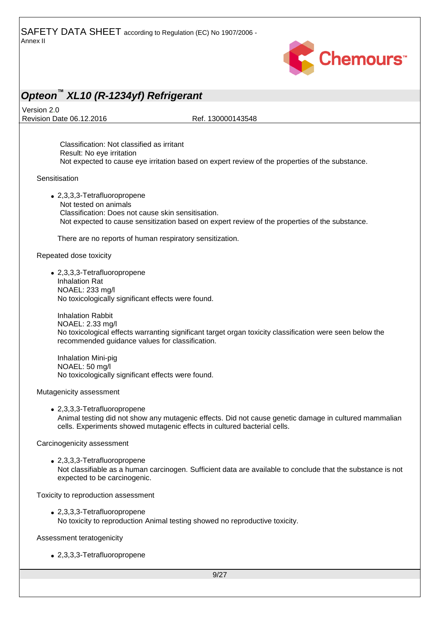

Version 2.0 Revision Date 06.12.2016 Ref. 130000143548

Classification: Not classified as irritant Result: No eye irritation Not expected to cause eye irritation based on expert review of the properties of the substance.

**Sensitisation** 

 2,3,3,3-Tetrafluoropropene Not tested on animals Classification: Does not cause skin sensitisation. Not expected to cause sensitization based on expert review of the properties of the substance.

There are no reports of human respiratory sensitization.

Repeated dose toxicity

 2,3,3,3-Tetrafluoropropene Inhalation Rat NOAEL: 233 mg/l No toxicologically significant effects were found.

Inhalation Rabbit NOAEL: 2.33 mg/l No toxicological effects warranting significant target organ toxicity classification were seen below the recommended guidance values for classification.

Inhalation Mini-pig NOAEL: 50 mg/l No toxicologically significant effects were found.

Mutagenicity assessment

 2,3,3,3-Tetrafluoropropene Animal testing did not show any mutagenic effects. Did not cause genetic damage in cultured mammalian cells. Experiments showed mutagenic effects in cultured bacterial cells.

Carcinogenicity assessment

 2,3,3,3-Tetrafluoropropene Not classifiable as a human carcinogen. Sufficient data are available to conclude that the substance is not expected to be carcinogenic.

Toxicity to reproduction assessment

 2,3,3,3-Tetrafluoropropene No toxicity to reproduction Animal testing showed no reproductive toxicity.

Assessment teratogenicity

2,3,3,3-Tetrafluoropropene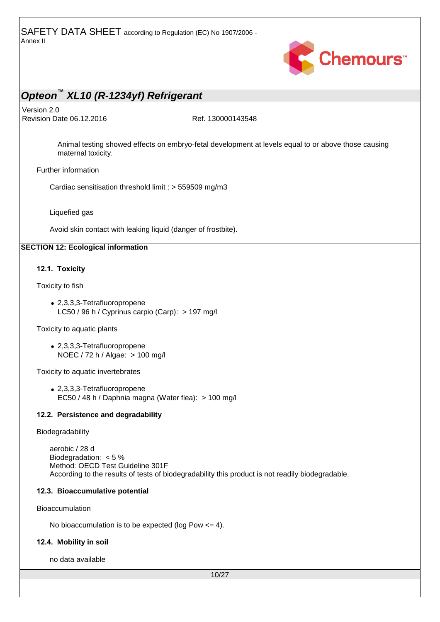

Version 2.0

Revision Date 06.12.2016 Ref. 130000143548

Animal testing showed effects on embryo-fetal development at levels equal to or above those causing maternal toxicity.

Further information

Cardiac sensitisation threshold limit : > 559509 mg/m3

Liquefied gas

Avoid skin contact with leaking liquid (danger of frostbite).

#### **SECTION 12: Ecological information**

#### **12.1. Toxicity**

Toxicity to fish

 2,3,3,3-Tetrafluoropropene LC50 / 96 h / Cyprinus carpio (Carp): > 197 mg/l

Toxicity to aquatic plants

 2,3,3,3-Tetrafluoropropene NOEC / 72 h / Algae: > 100 mg/l

Toxicity to aquatic invertebrates

 2,3,3,3-Tetrafluoropropene EC50 / 48 h / Daphnia magna (Water flea): > 100 mg/l

#### **12.2. Persistence and degradability**

Biodegradability

aerobic / 28 d Biodegradation: < 5 % Method: OECD Test Guideline 301F According to the results of tests of biodegradability this product is not readily biodegradable.

#### **12.3. Bioaccumulative potential**

Bioaccumulation

No bioaccumulation is to be expected (log Pow  $\leq$  = 4).

#### **12.4. Mobility in soil**

no data available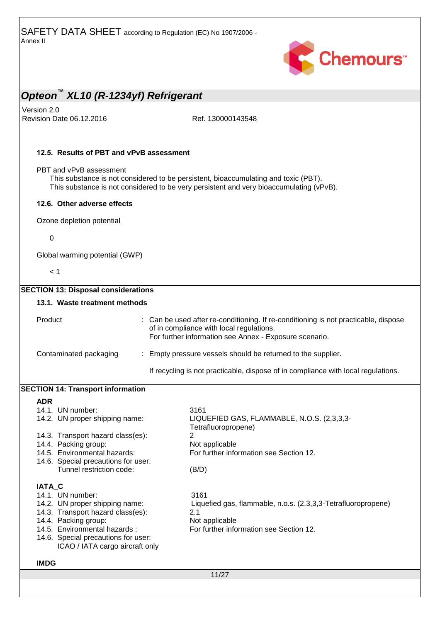

Version 2.0 Revision Date 06.12.2016 Ref. 130000143548

#### **12.5. Results of PBT and vPvB assessment**

#### PBT and vPvB assessment

This substance is not considered to be persistent, bioaccumulating and toxic (PBT). This substance is not considered to be very persistent and very bioaccumulating (vPvB).

#### **12.6. Other adverse effects**

Ozone depletion potential

0

Global warming potential (GWP)

 $< 1$ 

| <b>SECTION 13: Disposal considerations</b>                             |                                                                                                                                                                                           |
|------------------------------------------------------------------------|-------------------------------------------------------------------------------------------------------------------------------------------------------------------------------------------|
| 13.1. Waste treatment methods                                          |                                                                                                                                                                                           |
| Product                                                                | : Can be used after re-conditioning. If re-conditioning is not practicable, dispose<br>of in compliance with local regulations.<br>For further information see Annex - Exposure scenario. |
| Contaminated packaging                                                 | Empty pressure vessels should be returned to the supplier.                                                                                                                                |
|                                                                        | If recycling is not practicable, dispose of in compliance with local regulations.                                                                                                         |
| <b>SECTION 14: Transport information</b>                               |                                                                                                                                                                                           |
| <b>ADR</b>                                                             |                                                                                                                                                                                           |
| 14.1. UN number:                                                       | 3161                                                                                                                                                                                      |
| 14.2. UN proper shipping name:                                         | LIQUEFIED GAS, FLAMMABLE, N.O.S. (2,3,3,3-<br>Tetrafluoropropene)                                                                                                                         |
| 14.3. Transport hazard class(es):                                      | $\overline{2}$                                                                                                                                                                            |
| 14.4. Packing group:                                                   | Not applicable                                                                                                                                                                            |
| 14.5. Environmental hazards:                                           | For further information see Section 12.                                                                                                                                                   |
| 14.6. Special precautions for user:                                    |                                                                                                                                                                                           |
| Tunnel restriction code:                                               | (B/D)                                                                                                                                                                                     |
| IATA_C                                                                 |                                                                                                                                                                                           |
| 14.1. UN number:                                                       | 3161                                                                                                                                                                                      |
| 14.2. UN proper shipping name:                                         | Liquefied gas, flammable, n.o.s. (2,3,3,3-Tetrafluoropropene)                                                                                                                             |
| 14.3. Transport hazard class(es):                                      | 2.1                                                                                                                                                                                       |
| 14.4. Packing group:                                                   | Not applicable                                                                                                                                                                            |
| 14.5. Environmental hazards:                                           | For further information see Section 12.                                                                                                                                                   |
| 14.6. Special precautions for user:<br>ICAO / IATA cargo aircraft only |                                                                                                                                                                                           |
| <b>IMDG</b>                                                            |                                                                                                                                                                                           |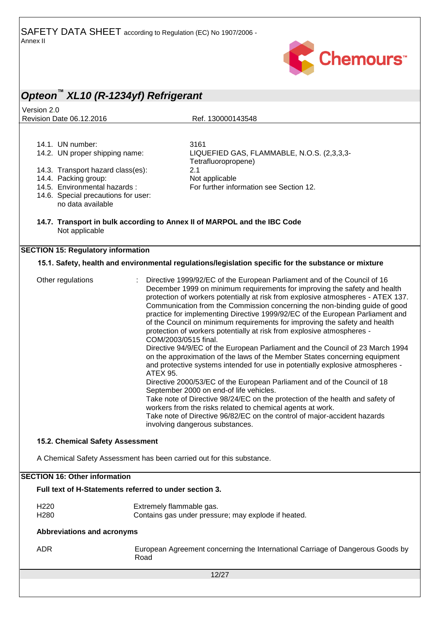

### *Opteon™ XL10 (R-1234yf) Refrigerant* Version 2.0 Revision Date 06.12.2016 Ref. 130000143548 12/27 14.1. UN number: 3161<br>14.2. UN proper shipping name: 5100 LIQUEFIED GAS, FLAMMABLE, N.O.S. (2,3,3,3-Tetrafluoropropene) 14.3. Transport hazard class(es): 2.1 14.4. Packing group: Not applicable<br>14.5. Environmental hazards: For further info For further information see Section 12. 14.6. Special precautions for user: **14.7. Transport in bulk according to Annex II of MARPOL and the IBC Code SECTION 15: Regulatory information 15.1. Safety, health and environmental regulations/legislation specific for the substance or mixture** Other regulations : Directive 1999/92/EC of the European Parliament and of the Council of 16 December 1999 on minimum requirements for improving the safety and health protection of workers potentially at risk from explosive atmospheres - ATEX 137. Communication from the Commission concerning the non-binding guide of good practice for implementing Directive 1999/92/EC of the European Parliament and of the Council on minimum requirements for improving the safety and health protection of workers potentially at risk from explosive atmospheres - COM/2003/0515 final. Directive 94/9/EC of the European Parliament and the Council of 23 March 1994 on the approximation of the laws of the Member States concerning equipment and protective systems intended for use in potentially explosive atmospheres - ATEX 95. Directive 2000/53/EC of the European Parliament and of the Council of 18 September 2000 on end-of life vehicles. Take note of Directive 98/24/EC on the protection of the health and safety of workers from the risks related to chemical agents at work. Take note of Directive 96/82/EC on the control of major-accident hazards involving dangerous substances. **15.2. Chemical Safety Assessment** A Chemical Safety Assessment has been carried out for this substance. **SECTION 16: Other information Full text of H-Statements referred to under section 3.** H220 Extremely flammable gas. H280 Contains gas under pressure; may explode if heated. **Abbreviations and acronyms** ADR European Agreement concerning the International Carriage of Dangerous Goods by Road no data available Not applicable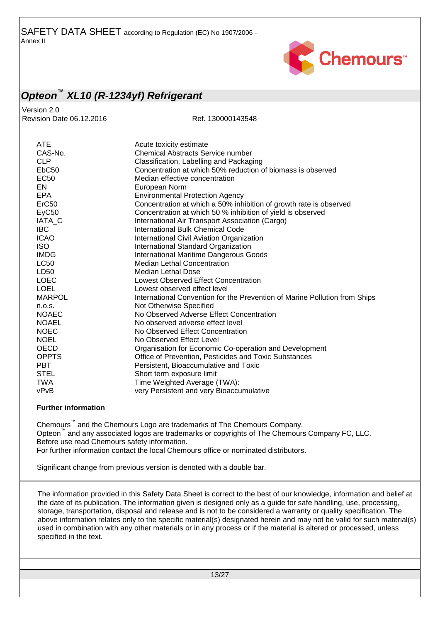

Version 2.0 Revision Date 06.12.2016 Ref. 130000143548

| <b>ATE</b>        | Acute toxicity estimate                                                    |
|-------------------|----------------------------------------------------------------------------|
| CAS-No.           | <b>Chemical Abstracts Service number</b>                                   |
| <b>CLP</b>        | Classification, Labelling and Packaging                                    |
| EbC50             | Concentration at which 50% reduction of biomass is observed                |
| EC <sub>50</sub>  | Median effective concentration                                             |
| EN                | European Norm                                                              |
| <b>EPA</b>        | <b>Environmental Protection Agency</b>                                     |
| ErC50             | Concentration at which a 50% inhibition of growth rate is observed         |
| EyC <sub>50</sub> | Concentration at which 50 % inhibition of yield is observed                |
| IATA C            | International Air Transport Association (Cargo)                            |
| <b>IBC</b>        | <b>International Bulk Chemical Code</b>                                    |
| <b>ICAO</b>       | International Civil Aviation Organization                                  |
| <b>ISO</b>        | International Standard Organization                                        |
| <b>IMDG</b>       | <b>International Maritime Dangerous Goods</b>                              |
| <b>LC50</b>       | <b>Median Lethal Concentration</b>                                         |
| LD50              | Median Lethal Dose                                                         |
| <b>LOEC</b>       | Lowest Observed Effect Concentration                                       |
| <b>LOEL</b>       | Lowest observed effect level                                               |
| <b>MARPOL</b>     | International Convention for the Prevention of Marine Pollution from Ships |
| n.o.s.            | Not Otherwise Specified                                                    |
| <b>NOAEC</b>      | No Observed Adverse Effect Concentration                                   |
| <b>NOAEL</b>      | No observed adverse effect level                                           |
| <b>NOEC</b>       | No Observed Effect Concentration                                           |
| <b>NOEL</b>       | No Observed Effect Level                                                   |
| <b>OECD</b>       | Organisation for Economic Co-operation and Development                     |
| <b>OPPTS</b>      | Office of Prevention, Pesticides and Toxic Substances                      |
| <b>PBT</b>        | Persistent, Bioaccumulative and Toxic                                      |
| <b>STEL</b>       | Short term exposure limit                                                  |
| <b>TWA</b>        | Time Weighted Average (TWA):                                               |
| vPvB              | very Persistent and very Bioaccumulative                                   |
|                   |                                                                            |

#### **Further information**

Chemours™ and the Chemours Logo are trademarks of The Chemours Company. Opteon™ and any associated logos are trademarks or copyrights of The Chemours Company FC, LLC. Before use read Chemours safety information. For further information contact the local Chemours office or nominated distributors.

Significant change from previous version is denoted with a double bar.

The information provided in this Safety Data Sheet is correct to the best of our knowledge, information and belief at the date of its publication. The information given is designed only as a guide for safe handling, use, processing, storage, transportation, disposal and release and is not to be considered a warranty or quality specification. The above information relates only to the specific material(s) designated herein and may not be valid for such material(s) used in combination with any other materials or in any process or if the material is altered or processed, unless specified in the text.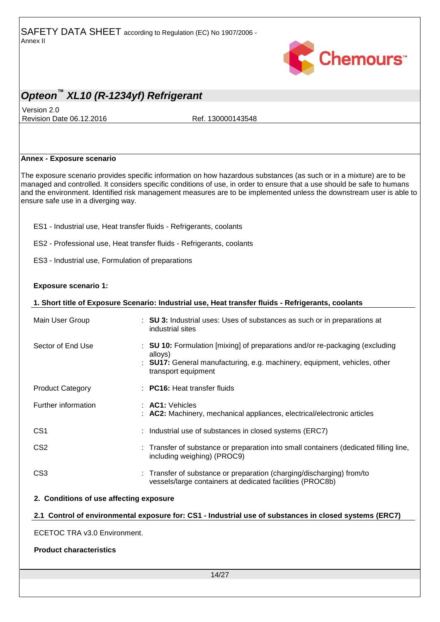

Version 2.0 Revision Date 06.12.2016 Ref. 130000143548

#### **Annex - Exposure scenario**

The exposure scenario provides specific information on how hazardous substances (as such or in a mixture) are to be managed and controlled. It considers specific conditions of use, in order to ensure that a use should be safe to humans and the environment. Identified risk management measures are to be implemented unless the downstream user is able to ensure safe use in a diverging way.

ES1 - Industrial use, Heat transfer fluids - Refrigerants, coolants

ES2 - Professional use, Heat transfer fluids - Refrigerants, coolants

ES3 - Industrial use, Formulation of preparations

#### **Exposure scenario 1:**

| 1. Short title of Exposure Scenario: Industrial use, Heat transfer fluids - Refrigerants, coolants     |  |                                                                                                                                                                                             |  |
|--------------------------------------------------------------------------------------------------------|--|---------------------------------------------------------------------------------------------------------------------------------------------------------------------------------------------|--|
| Main User Group                                                                                        |  | : SU 3: Industrial uses: Uses of substances as such or in preparations at<br>industrial sites                                                                                               |  |
| Sector of End Use                                                                                      |  | : SU 10: Formulation [mixing] of preparations and/or re-packaging (excluding<br>alloys)<br>: SU17: General manufacturing, e.g. machinery, equipment, vehicles, other<br>transport equipment |  |
| <b>Product Category</b>                                                                                |  | $\therefore$ PC16: Heat transfer fluids                                                                                                                                                     |  |
| Further information                                                                                    |  | $\therefore$ AC1: Vehicles<br>: AC2: Machinery, mechanical appliances, electrical/electronic articles                                                                                       |  |
| CS <sub>1</sub>                                                                                        |  | : Industrial use of substances in closed systems (ERC7)                                                                                                                                     |  |
| CS <sub>2</sub>                                                                                        |  | : Transfer of substance or preparation into small containers (dedicated filling line,<br>including weighing) (PROC9)                                                                        |  |
| CS <sub>3</sub>                                                                                        |  | : Transfer of substance or preparation (charging/discharging) from/to<br>vessels/large containers at dedicated facilities (PROC8b)                                                          |  |
| 2. Conditions of use affecting exposure                                                                |  |                                                                                                                                                                                             |  |
| 2.1 Control of environmental exposure for: CS1 - Industrial use of substances in closed systems (ERC7) |  |                                                                                                                                                                                             |  |
| ECETOC TRA v3.0 Environment.                                                                           |  |                                                                                                                                                                                             |  |

**Product characteristics**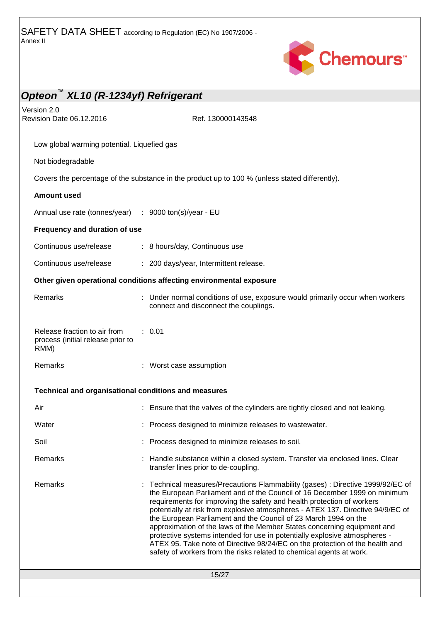

| Opteon XL10 (R-1234yf) Refrigerant                                        |                                                                                                                                                                                                                                                                                                                                                                                                                                                                                                                                                                                                                                                                                                               |  |
|---------------------------------------------------------------------------|---------------------------------------------------------------------------------------------------------------------------------------------------------------------------------------------------------------------------------------------------------------------------------------------------------------------------------------------------------------------------------------------------------------------------------------------------------------------------------------------------------------------------------------------------------------------------------------------------------------------------------------------------------------------------------------------------------------|--|
| Version 2.0<br>Revision Date 06.12.2016                                   | Ref. 130000143548                                                                                                                                                                                                                                                                                                                                                                                                                                                                                                                                                                                                                                                                                             |  |
| Low global warming potential. Liquefied gas                               |                                                                                                                                                                                                                                                                                                                                                                                                                                                                                                                                                                                                                                                                                                               |  |
| Not biodegradable                                                         |                                                                                                                                                                                                                                                                                                                                                                                                                                                                                                                                                                                                                                                                                                               |  |
|                                                                           | Covers the percentage of the substance in the product up to 100 % (unless stated differently).                                                                                                                                                                                                                                                                                                                                                                                                                                                                                                                                                                                                                |  |
| <b>Amount used</b>                                                        |                                                                                                                                                                                                                                                                                                                                                                                                                                                                                                                                                                                                                                                                                                               |  |
| Annual use rate (tonnes/year) : 9000 ton(s)/year - EU                     |                                                                                                                                                                                                                                                                                                                                                                                                                                                                                                                                                                                                                                                                                                               |  |
| Frequency and duration of use                                             |                                                                                                                                                                                                                                                                                                                                                                                                                                                                                                                                                                                                                                                                                                               |  |
| Continuous use/release                                                    | : 8 hours/day, Continuous use                                                                                                                                                                                                                                                                                                                                                                                                                                                                                                                                                                                                                                                                                 |  |
| Continuous use/release                                                    | : 200 days/year, Intermittent release.                                                                                                                                                                                                                                                                                                                                                                                                                                                                                                                                                                                                                                                                        |  |
|                                                                           | Other given operational conditions affecting environmental exposure                                                                                                                                                                                                                                                                                                                                                                                                                                                                                                                                                                                                                                           |  |
| Remarks                                                                   | Under normal conditions of use, exposure would primarily occur when workers<br>connect and disconnect the couplings.                                                                                                                                                                                                                                                                                                                                                                                                                                                                                                                                                                                          |  |
| Release fraction to air from<br>process (initial release prior to<br>RMM) | : 0.01                                                                                                                                                                                                                                                                                                                                                                                                                                                                                                                                                                                                                                                                                                        |  |
| Remarks                                                                   | : Worst case assumption                                                                                                                                                                                                                                                                                                                                                                                                                                                                                                                                                                                                                                                                                       |  |
| Technical and organisational conditions and measures                      |                                                                                                                                                                                                                                                                                                                                                                                                                                                                                                                                                                                                                                                                                                               |  |
| Air                                                                       | : Ensure that the valves of the cylinders are tightly closed and not leaking.                                                                                                                                                                                                                                                                                                                                                                                                                                                                                                                                                                                                                                 |  |
| Water                                                                     | : Process designed to minimize releases to wastewater.                                                                                                                                                                                                                                                                                                                                                                                                                                                                                                                                                                                                                                                        |  |
| Soil                                                                      | : Process designed to minimize releases to soil.                                                                                                                                                                                                                                                                                                                                                                                                                                                                                                                                                                                                                                                              |  |
| Remarks                                                                   | : Handle substance within a closed system. Transfer via enclosed lines. Clear<br>transfer lines prior to de-coupling.                                                                                                                                                                                                                                                                                                                                                                                                                                                                                                                                                                                         |  |
| Remarks                                                                   | : Technical measures/Precautions Flammability (gases) : Directive 1999/92/EC of<br>the European Parliament and of the Council of 16 December 1999 on minimum<br>requirements for improving the safety and health protection of workers<br>potentially at risk from explosive atmospheres - ATEX 137. Directive 94/9/EC of<br>the European Parliament and the Council of 23 March 1994 on the<br>approximation of the laws of the Member States concerning equipment and<br>protective systems intended for use in potentially explosive atmospheres -<br>ATEX 95. Take note of Directive 98/24/EC on the protection of the health and<br>safety of workers from the risks related to chemical agents at work. |  |
|                                                                           | 15/27                                                                                                                                                                                                                                                                                                                                                                                                                                                                                                                                                                                                                                                                                                         |  |
|                                                                           |                                                                                                                                                                                                                                                                                                                                                                                                                                                                                                                                                                                                                                                                                                               |  |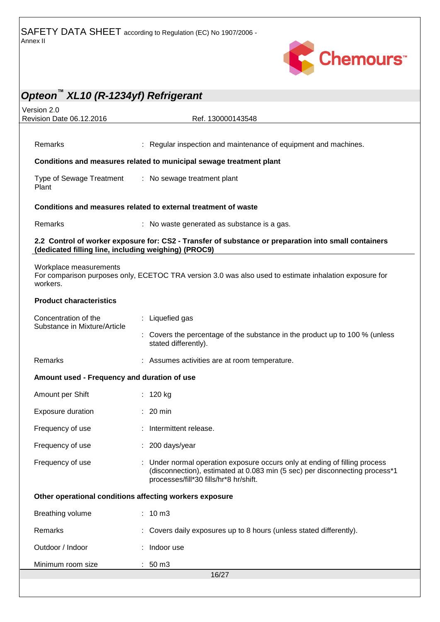

| Version 2.0<br>Revision Date 06.12.2016              | Ref. 130000143548                                                                                                                                                                                   |
|------------------------------------------------------|-----------------------------------------------------------------------------------------------------------------------------------------------------------------------------------------------------|
|                                                      |                                                                                                                                                                                                     |
| Remarks                                              | : Regular inspection and maintenance of equipment and machines.                                                                                                                                     |
|                                                      | Conditions and measures related to municipal sewage treatment plant                                                                                                                                 |
| Type of Sewage Treatment<br>Plant                    | : No sewage treatment plant                                                                                                                                                                         |
|                                                      | Conditions and measures related to external treatment of waste                                                                                                                                      |
| Remarks                                              | : No waste generated as substance is a gas.                                                                                                                                                         |
| (dedicated filling line, including weighing) (PROC9) | 2.2 Control of worker exposure for: CS2 - Transfer of substance or preparation into small containers                                                                                                |
| Workplace measurements<br>workers.                   | For comparison purposes only, ECETOC TRA version 3.0 was also used to estimate inhalation exposure for                                                                                              |
| <b>Product characteristics</b>                       |                                                                                                                                                                                                     |
| Concentration of the                                 | : Liquefied gas                                                                                                                                                                                     |
| Substance in Mixture/Article                         | : Covers the percentage of the substance in the product up to 100 % (unless<br>stated differently).                                                                                                 |
| Remarks                                              | : Assumes activities are at room temperature.                                                                                                                                                       |
| Amount used - Frequency and duration of use          |                                                                                                                                                                                                     |
| Amount per Shift                                     | : $120 kg$                                                                                                                                                                                          |
| Exposure duration                                    | $: 20$ min                                                                                                                                                                                          |
| Frequency of use                                     | : Intermittent release.                                                                                                                                                                             |
| Frequency of use                                     | : 200 days/year                                                                                                                                                                                     |
| Frequency of use                                     | : Under normal operation exposure occurs only at ending of filling process<br>(disconnection), estimated at 0.083 min (5 sec) per disconnecting process*1<br>processes/fill*30 fills/hr*8 hr/shift. |
|                                                      | Other operational conditions affecting workers exposure                                                                                                                                             |
| Breathing volume                                     | $: 10 \, m3$                                                                                                                                                                                        |
| Remarks                                              | : Covers daily exposures up to 8 hours (unless stated differently).                                                                                                                                 |
| Outdoor / Indoor                                     | : Indoor use                                                                                                                                                                                        |
| Minimum room size                                    | $: 50 \text{ m}3$                                                                                                                                                                                   |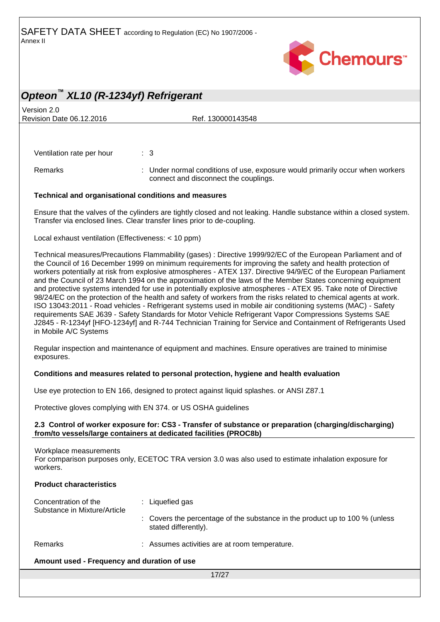

Version 2.0 Revision Date 06.12.2016 Ref. 130000143548

Ventilation rate per hour : 3

Remarks **1992** : Under normal conditions of use, exposure would primarily occur when workers connect and disconnect the couplings.

#### **Technical and organisational conditions and measures**

Ensure that the valves of the cylinders are tightly closed and not leaking. Handle substance within a closed system. Transfer via enclosed lines. Clear transfer lines prior to de-coupling.

Local exhaust ventilation (Effectiveness: < 10 ppm)

Technical measures/Precautions Flammability (gases) : Directive 1999/92/EC of the European Parliament and of the Council of 16 December 1999 on minimum requirements for improving the safety and health protection of workers potentially at risk from explosive atmospheres - ATEX 137. Directive 94/9/EC of the European Parliament and the Council of 23 March 1994 on the approximation of the laws of the Member States concerning equipment and protective systems intended for use in potentially explosive atmospheres - ATEX 95. Take note of Directive 98/24/EC on the protection of the health and safety of workers from the risks related to chemical agents at work. ISO 13043:2011 - Road vehicles - Refrigerant systems used in mobile air conditioning systems (MAC) - Safety requirements SAE J639 - Safety Standards for Motor Vehicle Refrigerant Vapor Compressions Systems SAE J2845 - R-1234yf [HFO-1234yf] and R-744 Technician Training for Service and Containment of Refrigerants Used in Mobile A/C Systems

Regular inspection and maintenance of equipment and machines. Ensure operatives are trained to minimise exposures.

#### **Conditions and measures related to personal protection, hygiene and health evaluation**

Use eye protection to EN 166, designed to protect against liquid splashes. or ANSI Z87.1

Protective gloves complying with EN 374. or US OSHA guidelines

#### **2.3 Control of worker exposure for: CS3 - Transfer of substance or preparation (charging/discharging) from/to vessels/large containers at dedicated facilities (PROC8b)**

Workplace measurements

For comparison purposes only, ECETOC TRA version 3.0 was also used to estimate inhalation exposure for workers.

### **Product characteristics** Concentration of the Substance in Mixture/Article : Liquefied gas : Covers the percentage of the substance in the product up to 100 % (unless stated differently). Remarks : Assumes activities are at room temperature.

#### **Amount used - Frequency and duration of use**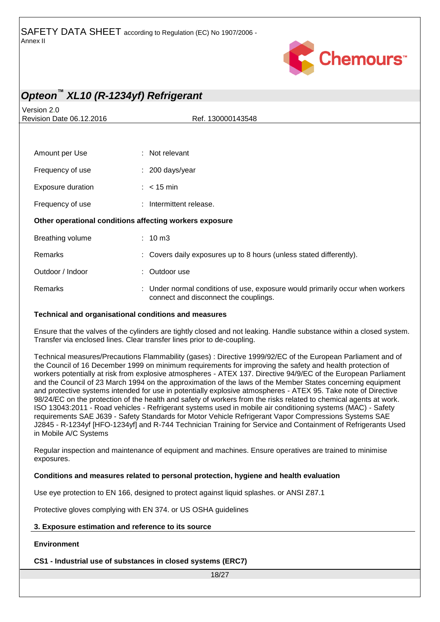

Version 2.0 Revision Date 06.12.2016 Ref. 130000143548

| Amount per Use                                          | : Not relevant                                                                                                         |  |  |
|---------------------------------------------------------|------------------------------------------------------------------------------------------------------------------------|--|--|
| Frequency of use                                        | $: 200$ days/year                                                                                                      |  |  |
| Exposure duration                                       | $\therefore$ < 15 min                                                                                                  |  |  |
| Frequency of use                                        | : Intermittent release.                                                                                                |  |  |
| Other operational conditions affecting workers exposure |                                                                                                                        |  |  |
| Breathing volume                                        | $: 10 \text{ m}$ 3                                                                                                     |  |  |
| Remarks                                                 | : Covers daily exposures up to 8 hours (unless stated differently).                                                    |  |  |
| Outdoor / Indoor                                        | : Outdoor use                                                                                                          |  |  |
| Remarks                                                 | : Under normal conditions of use, exposure would primarily occur when workers<br>connect and disconnect the couplings. |  |  |

#### **Technical and organisational conditions and measures**

Ensure that the valves of the cylinders are tightly closed and not leaking. Handle substance within a closed system. Transfer via enclosed lines. Clear transfer lines prior to de-coupling.

Technical measures/Precautions Flammability (gases) : Directive 1999/92/EC of the European Parliament and of the Council of 16 December 1999 on minimum requirements for improving the safety and health protection of workers potentially at risk from explosive atmospheres - ATEX 137. Directive 94/9/EC of the European Parliament and the Council of 23 March 1994 on the approximation of the laws of the Member States concerning equipment and protective systems intended for use in potentially explosive atmospheres - ATEX 95. Take note of Directive 98/24/EC on the protection of the health and safety of workers from the risks related to chemical agents at work. ISO 13043:2011 - Road vehicles - Refrigerant systems used in mobile air conditioning systems (MAC) - Safety requirements SAE J639 - Safety Standards for Motor Vehicle Refrigerant Vapor Compressions Systems SAE J2845 - R-1234yf [HFO-1234yf] and R-744 Technician Training for Service and Containment of Refrigerants Used in Mobile A/C Systems

Regular inspection and maintenance of equipment and machines. Ensure operatives are trained to minimise exposures.

#### **Conditions and measures related to personal protection, hygiene and health evaluation**

Use eye protection to EN 166, designed to protect against liquid splashes. or ANSI Z87.1

Protective gloves complying with EN 374. or US OSHA guidelines

#### **3. Exposure estimation and reference to its source**

#### **Environment**

**CS1 - Industrial use of substances in closed systems (ERC7)**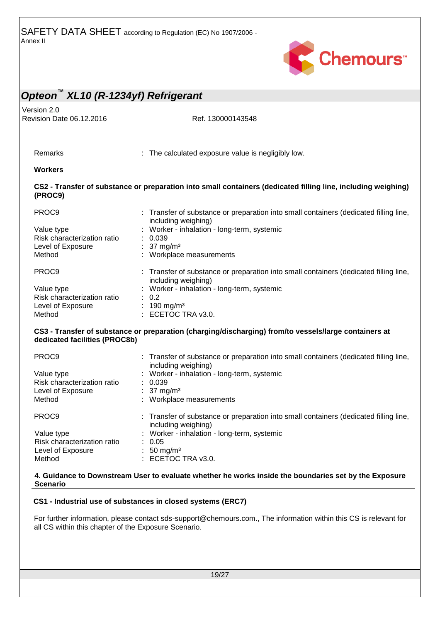

| Opteon <sup>™</sup> XL10 (R-1234yf) Refrigerant |                                                                                                                                                                      |
|-------------------------------------------------|----------------------------------------------------------------------------------------------------------------------------------------------------------------------|
| Version 2.0                                     |                                                                                                                                                                      |
| Revision Date 06.12.2016                        | Ref. 130000143548                                                                                                                                                    |
|                                                 |                                                                                                                                                                      |
|                                                 |                                                                                                                                                                      |
|                                                 |                                                                                                                                                                      |
| Remarks                                         | : The calculated exposure value is negligibly low.                                                                                                                   |
| <b>Workers</b>                                  |                                                                                                                                                                      |
| (PROC9)                                         | CS2 - Transfer of substance or preparation into small containers (dedicated filling line, including weighing)                                                        |
| PROC9                                           | : Transfer of substance or preparation into small containers (dedicated filling line,<br>including weighing)                                                         |
| Value type                                      | Worker - inhalation - long-term, systemic                                                                                                                            |
| Risk characterization ratio                     | 0.039                                                                                                                                                                |
| Level of Exposure                               | : 37 mg/m <sup>3</sup>                                                                                                                                               |
| Method                                          | : Workplace measurements                                                                                                                                             |
| PROC9                                           | : Transfer of substance or preparation into small containers (dedicated filling line,<br>including weighing)                                                         |
| Value type                                      | Worker - inhalation - long-term, systemic                                                                                                                            |
| Risk characterization ratio                     | : 0.2                                                                                                                                                                |
| Level of Exposure                               | : 190 mg/m <sup>3</sup>                                                                                                                                              |
| Method                                          | : ECETOC TRA v3.0.                                                                                                                                                   |
| dedicated facilities (PROC8b)                   | CS3 - Transfer of substance or preparation (charging/discharging) from/to vessels/large containers at                                                                |
| PROC9                                           | : Transfer of substance or preparation into small containers (dedicated filling line,<br>including weighing)                                                         |
| Value type                                      | Worker - inhalation - long-term, systemic                                                                                                                            |
| Risk characterization ratio                     | : 0.039                                                                                                                                                              |
| Level of Exposure                               | : $37 \text{ mg/m}^3$                                                                                                                                                |
| Method                                          | : Workplace measurements                                                                                                                                             |
| PROC9                                           | : Transfer of substance or preparation into small containers (dedicated filling line<br>including weighing)                                                          |
| Value type                                      | Worker - inhalation - long-term, systemic                                                                                                                            |
| Risk characterization ratio                     | : 0.05                                                                                                                                                               |
| Level of Exposure                               | : 50 mg/m <sup>3</sup>                                                                                                                                               |
| Method                                          | : ECETOC TRA v3.0.                                                                                                                                                   |
| <b>Scenario</b>                                 | 4. Guidance to Downstream User to evaluate whether he works inside the boundaries set by the Exposure<br>CS1 - Industrial use of substances in closed systems (ERC7) |

For further information, please contact sds-support@chemours.com., The information within this CS is relevant for all CS within this chapter of the Exposure Scenario.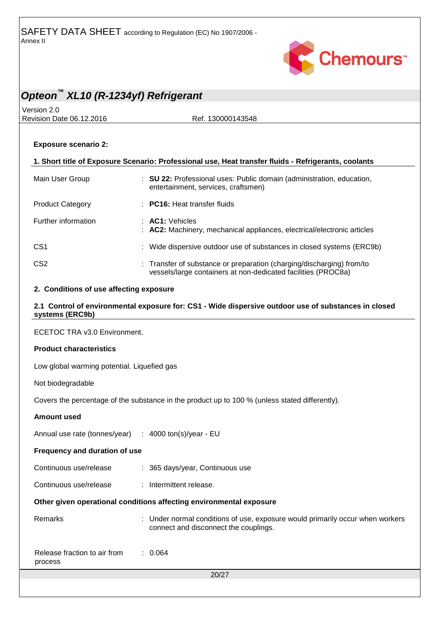

# *Opteon™ XL10 (R-1234yf) Refrigerant* Version 2.0 Revision Date 06.12.2016 Ref. 130000143548 20/27 **Exposure scenario 2: 1. Short title of Exposure Scenario: Professional use, Heat transfer fluids - Refrigerants, coolants** Main User Group : **SU 22:** Professional uses: Public domain (administration, education, entertainment, services, craftsmen) Product Category : **PC16:** Heat transfer fluids Further information : **AC1:** Vehicles : **AC2:** Machinery, mechanical appliances, electrical/electronic articles CS1 : Wide dispersive outdoor use of substances in closed systems (ERC9b) CS2 : Transfer of substance or preparation (charging/discharging) from/to vessels/large containers at non-dedicated facilities (PROC8a) **2. Conditions of use affecting exposure 2.1 Control of environmental exposure for: CS1 - Wide dispersive outdoor use of substances in closed systems (ERC9b)** ECETOC TRA v3.0 Environment. **Product characteristics** Low global warming potential. Liquefied gas Not biodegradable Covers the percentage of the substance in the product up to 100 % (unless stated differently). **Amount used** Annual use rate (tonnes/year) : 4000 ton(s)/year - EU **Frequency and duration of use** Continuous use/release : 365 days/year, Continuous use Continuous use/release : Intermittent release. **Other given operational conditions affecting environmental exposure** Remarks **Example 20 Temarks** : Under normal conditions of use, exposure would primarily occur when workers connect and disconnect the couplings. Release fraction to air from process : 0.064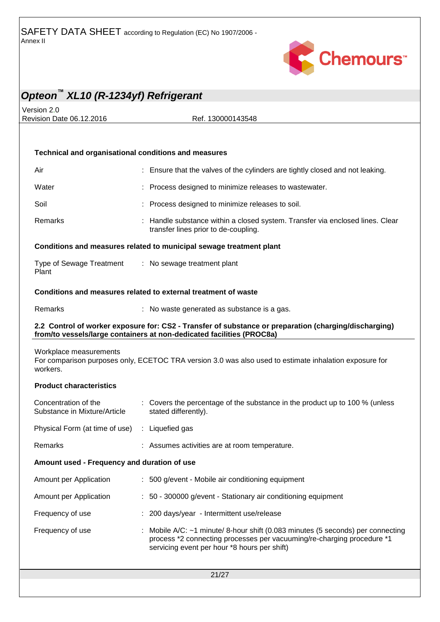

Version 2.0 Revision Date 06.12.2016 Ref. 130000143548

# **Technical and organisational conditions and measures** Air : Ensure that the valves of the cylinders are tightly closed and not leaking. Water : Process designed to minimize releases to wastewater. Soil **Solution Community Constrainers** : Process designed to minimize releases to soil. Remarks : Handle substance within a closed system. Transfer via enclosed lines. Clear transfer lines prior to de-coupling. **Conditions and measures related to municipal sewage treatment plant** Type of Sewage Treatment Plant : No sewage treatment plant **Conditions and measures related to external treatment of waste** Remarks : No waste generated as substance is a gas.

#### **2.2 Control of worker exposure for: CS2 - Transfer of substance or preparation (charging/discharging) from/to vessels/large containers at non-dedicated facilities (PROC8a)**

#### Workplace measurements For comparison purposes only, ECETOC TRA version 3.0 was also used to estimate inhalation exposure for workers.

#### **Product characteristics**

| Concentration of the<br>Substance in Mixture/Article | $\therefore$ Covers the percentage of the substance in the product up to 100 % (unless<br>stated differently). |
|------------------------------------------------------|----------------------------------------------------------------------------------------------------------------|
| Physical Form (at time of use) : Liquefied gas       |                                                                                                                |
| Remarks                                              | : Assumes activities are at room temperature.                                                                  |

#### **Amount used - Frequency and duration of use**

| Amount per Application | : 500 g/event - Mobile air conditioning equipment                                                                                                                                                               |
|------------------------|-----------------------------------------------------------------------------------------------------------------------------------------------------------------------------------------------------------------|
| Amount per Application | : 50 - 300000 g/event - Stationary air conditioning equipment                                                                                                                                                   |
| Frequency of use       | : 200 days/year - Intermittent use/release                                                                                                                                                                      |
| Frequency of use       | : Mobile A/C: $\sim$ 1 minute/ 8-hour shift (0.083 minutes (5 seconds) per connecting<br>process *2 connecting processes per vacuuming/re-charging procedure *1<br>servicing event per hour *8 hours per shift) |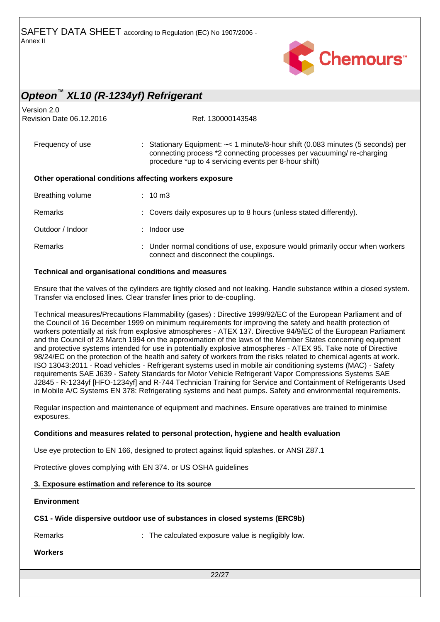

# *Opteon™ XL10 (R-1234yf) Refrigerant* Version 2.0 Revision Date 06.12.2016 Ref. 130000143548 Frequency of use : Stationary Equipment: ~< 1 minute/8-hour shift (0.083 minutes (5 seconds) per connecting process \*2 connecting processes per vacuuming/ re-charging procedure \*up to 4 servicing events per 8-hour shift) **Other operational conditions affecting workers exposure** Breathing volume : 10 m3 Remarks : Covers daily exposures up to 8 hours (unless stated differently). Outdoor / Indoor : Indoor use Remarks **Example 20 Terms** : Under normal conditions of use, exposure would primarily occur when workers connect and disconnect the couplings. **Technical and organisational conditions and measures**

Ensure that the valves of the cylinders are tightly closed and not leaking. Handle substance within a closed system. Transfer via enclosed lines. Clear transfer lines prior to de-coupling.

Technical measures/Precautions Flammability (gases) : Directive 1999/92/EC of the European Parliament and of the Council of 16 December 1999 on minimum requirements for improving the safety and health protection of workers potentially at risk from explosive atmospheres - ATEX 137. Directive 94/9/EC of the European Parliament and the Council of 23 March 1994 on the approximation of the laws of the Member States concerning equipment and protective systems intended for use in potentially explosive atmospheres - ATEX 95. Take note of Directive 98/24/EC on the protection of the health and safety of workers from the risks related to chemical agents at work. ISO 13043:2011 - Road vehicles - Refrigerant systems used in mobile air conditioning systems (MAC) - Safety requirements SAE J639 - Safety Standards for Motor Vehicle Refrigerant Vapor Compressions Systems SAE J2845 - R-1234yf [HFO-1234yf] and R-744 Technician Training for Service and Containment of Refrigerants Used in Mobile A/C Systems EN 378: Refrigerating systems and heat pumps. Safety and environmental requirements.

Regular inspection and maintenance of equipment and machines. Ensure operatives are trained to minimise exposures.

#### **Conditions and measures related to personal protection, hygiene and health evaluation**

Use eye protection to EN 166, designed to protect against liquid splashes. or ANSI Z87.1

Protective gloves complying with EN 374. or US OSHA guidelines

#### **3. Exposure estimation and reference to its source**

#### **Environment**

#### **CS1 - Wide dispersive outdoor use of substances in closed systems (ERC9b)**

Remarks : The calculated exposure value is negligibly low.

#### **Workers**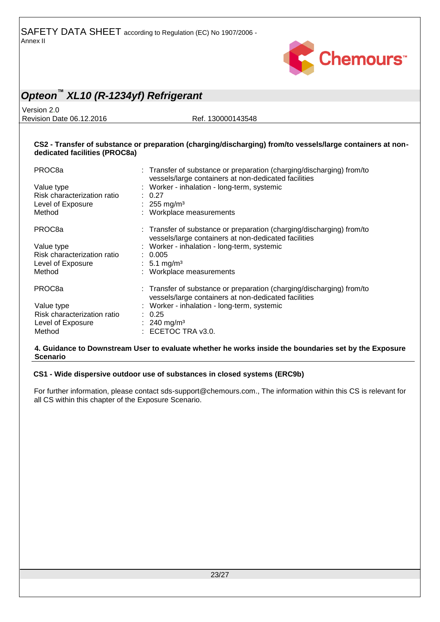

Version 2.0 Revision Date 06.12.2016 Ref. 130000143548

#### **CS2 - Transfer of substance or preparation (charging/discharging) from/to vessels/large containers at nondedicated facilities (PROC8a)**

| PROC <sub>8</sub> a<br>Value type<br>Risk characterization ratio<br>Level of Exposure<br>Method | : Transfer of substance or preparation (charging/discharging) from/to<br>vessels/large containers at non-dedicated facilities<br>: Worker - inhalation - long-term, systemic<br>0.27<br>: 255 mg/m <sup>3</sup><br>: Workplace measurements |
|-------------------------------------------------------------------------------------------------|---------------------------------------------------------------------------------------------------------------------------------------------------------------------------------------------------------------------------------------------|
| PROC <sub>8</sub> a                                                                             | : Transfer of substance or preparation (charging/discharging) from/to<br>vessels/large containers at non-dedicated facilities                                                                                                               |
| Value type<br>Risk characterization ratio<br>Level of Exposure<br>Method                        | : Worker - inhalation - long-term, systemic<br>: 0.005<br>: 5.1 mg/m <sup>3</sup><br>: Workplace measurements                                                                                                                               |
| PROC <sub>8</sub> a                                                                             | : Transfer of substance or preparation (charging/discharging) from/to<br>vessels/large containers at non-dedicated facilities                                                                                                               |
| Value type<br>Risk characterization ratio<br>Level of Exposure<br>Method                        | : Worker - inhalation - long-term, systemic<br>: 0.25<br>: 240 mg/m <sup>3</sup><br>ECETOC TRA v3.0.                                                                                                                                        |

#### **4. Guidance to Downstream User to evaluate whether he works inside the boundaries set by the Exposure Scenario**

#### **CS1 - Wide dispersive outdoor use of substances in closed systems (ERC9b)**

For further information, please contact sds-support@chemours.com., The information within this CS is relevant for all CS within this chapter of the Exposure Scenario.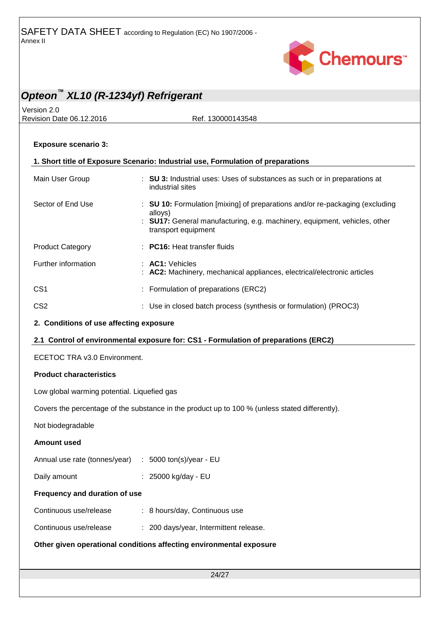

# *Opteon™ XL10 (R-1234yf) Refrigerant* Version 2.0 Revision Date 06.12.2016 Ref. 130000143548 **Exposure scenario 3: 1. Short title of Exposure Scenario: Industrial use, Formulation of preparations** Main User Group : **SU 3:** Industrial uses: Uses of substances as such or in preparations at industrial sites Sector of End Use : **SU 10:** Formulation [mixing] of preparations and/or re-packaging (excluding alloys) : **SU17:** General manufacturing, e.g. machinery, equipment, vehicles, other transport equipment Product Category : **PC16:** Heat transfer fluids Further information : **AC1:** Vehicles : **AC2:** Machinery, mechanical appliances, electrical/electronic articles CS1 : Formulation of preparations (ERC2) CS2 : Use in closed batch process (synthesis or formulation) (PROC3) **2. Conditions of use affecting exposure 2.1 Control of environmental exposure for: CS1 - Formulation of preparations (ERC2)** ECETOC TRA v3.0 Environment. **Product characteristics** Low global warming potential. Liquefied gas Covers the percentage of the substance in the product up to 100 % (unless stated differently). Not biodegradable **Amount used**

| Annual use rate (tonnes/year) $\therefore$ 5000 ton(s)/year - EU |                                |
|------------------------------------------------------------------|--------------------------------|
| Daily amount                                                     | $\therefore$ 25000 kg/day - EU |

### **Frequency and duration of use**

- Continuous use/release : 8 hours/day, Continuous use
- Continuous use/release : 200 days/year, Intermittent release.

#### **Other given operational conditions affecting environmental exposure**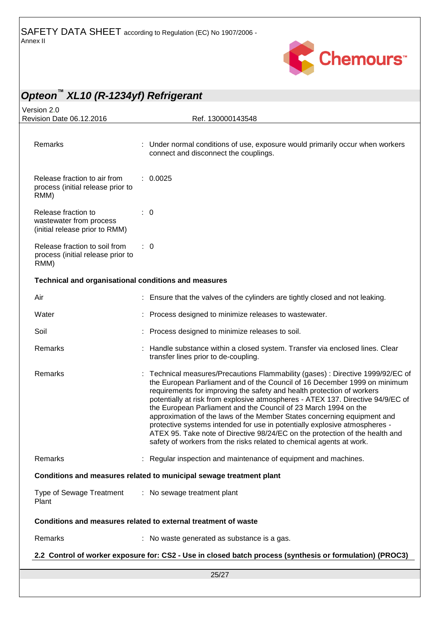

| Opteon <sup>"</sup> XL10 (R-1234yf) Refrigerant                                  |                                                                                                                                                                                                                                                                                                                                                                                                                                                                                                                                                                                                                                                                                                             |
|----------------------------------------------------------------------------------|-------------------------------------------------------------------------------------------------------------------------------------------------------------------------------------------------------------------------------------------------------------------------------------------------------------------------------------------------------------------------------------------------------------------------------------------------------------------------------------------------------------------------------------------------------------------------------------------------------------------------------------------------------------------------------------------------------------|
| Version 2.0<br>Revision Date 06.12.2016                                          | Ref. 130000143548                                                                                                                                                                                                                                                                                                                                                                                                                                                                                                                                                                                                                                                                                           |
|                                                                                  |                                                                                                                                                                                                                                                                                                                                                                                                                                                                                                                                                                                                                                                                                                             |
| Remarks                                                                          | : Under normal conditions of use, exposure would primarily occur when workers<br>connect and disconnect the couplings.                                                                                                                                                                                                                                                                                                                                                                                                                                                                                                                                                                                      |
| Release fraction to air from<br>process (initial release prior to<br>RMM)        | : 0.0025                                                                                                                                                                                                                                                                                                                                                                                                                                                                                                                                                                                                                                                                                                    |
| Release fraction to<br>wastewater from process<br>(initial release prior to RMM) | $\therefore$ 0                                                                                                                                                                                                                                                                                                                                                                                                                                                                                                                                                                                                                                                                                              |
| Release fraction to soil from<br>process (initial release prior to<br>RMM)       | $\therefore$ 0                                                                                                                                                                                                                                                                                                                                                                                                                                                                                                                                                                                                                                                                                              |
| Technical and organisational conditions and measures                             |                                                                                                                                                                                                                                                                                                                                                                                                                                                                                                                                                                                                                                                                                                             |
| Air                                                                              | : Ensure that the valves of the cylinders are tightly closed and not leaking.                                                                                                                                                                                                                                                                                                                                                                                                                                                                                                                                                                                                                               |
| Water                                                                            | Process designed to minimize releases to wastewater.                                                                                                                                                                                                                                                                                                                                                                                                                                                                                                                                                                                                                                                        |
| Soil                                                                             | : Process designed to minimize releases to soil.                                                                                                                                                                                                                                                                                                                                                                                                                                                                                                                                                                                                                                                            |
| Remarks                                                                          | : Handle substance within a closed system. Transfer via enclosed lines. Clear<br>transfer lines prior to de-coupling.                                                                                                                                                                                                                                                                                                                                                                                                                                                                                                                                                                                       |
| Remarks                                                                          | Technical measures/Precautions Flammability (gases) : Directive 1999/92/EC of<br>the European Parliament and of the Council of 16 December 1999 on minimum<br>requirements for improving the safety and health protection of workers<br>potentially at risk from explosive atmospheres - ATEX 137. Directive 94/9/EC of<br>the European Parliament and the Council of 23 March 1994 on the<br>approximation of the laws of the Member States concerning equipment and<br>protective systems intended for use in potentially explosive atmospheres -<br>ATEX 95. Take note of Directive 98/24/EC on the protection of the health and<br>safety of workers from the risks related to chemical agents at work. |
| Remarks                                                                          | : Regular inspection and maintenance of equipment and machines.                                                                                                                                                                                                                                                                                                                                                                                                                                                                                                                                                                                                                                             |
|                                                                                  | Conditions and measures related to municipal sewage treatment plant                                                                                                                                                                                                                                                                                                                                                                                                                                                                                                                                                                                                                                         |
| <b>Type of Sewage Treatment</b><br>Plant                                         | : No sewage treatment plant                                                                                                                                                                                                                                                                                                                                                                                                                                                                                                                                                                                                                                                                                 |
|                                                                                  | Conditions and measures related to external treatment of waste                                                                                                                                                                                                                                                                                                                                                                                                                                                                                                                                                                                                                                              |
| Remarks                                                                          | : No waste generated as substance is a gas.                                                                                                                                                                                                                                                                                                                                                                                                                                                                                                                                                                                                                                                                 |
|                                                                                  | 2.2 Control of worker exposure for: CS2 - Use in closed batch process (synthesis or formulation) (PROC3)                                                                                                                                                                                                                                                                                                                                                                                                                                                                                                                                                                                                    |
|                                                                                  | 25/27                                                                                                                                                                                                                                                                                                                                                                                                                                                                                                                                                                                                                                                                                                       |
|                                                                                  |                                                                                                                                                                                                                                                                                                                                                                                                                                                                                                                                                                                                                                                                                                             |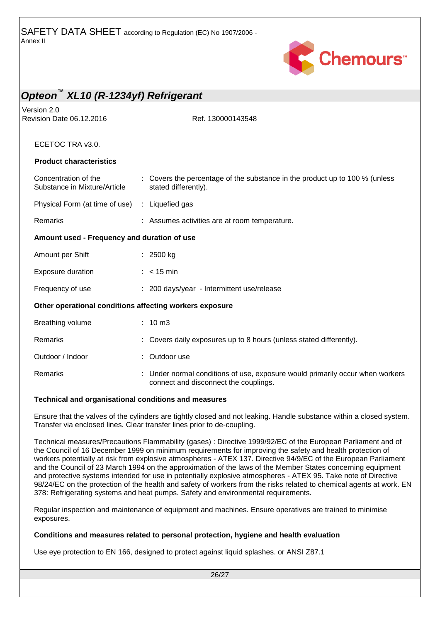

| Opteon <sup>™</sup> XL10 (R-1234yf) Refrigerant         |                                                                                                                      |
|---------------------------------------------------------|----------------------------------------------------------------------------------------------------------------------|
| Version 2.0<br>Revision Date 06.12.2016                 | Ref. 130000143548                                                                                                    |
|                                                         |                                                                                                                      |
| ECETOC TRA v3.0.                                        |                                                                                                                      |
| <b>Product characteristics</b>                          |                                                                                                                      |
| Concentration of the<br>Substance in Mixture/Article    | Covers the percentage of the substance in the product up to 100 % (unless<br>stated differently).                    |
| Physical Form (at time of use) : Liquefied gas          |                                                                                                                      |
| Remarks                                                 | : Assumes activities are at room temperature.                                                                        |
| Amount used - Frequency and duration of use             |                                                                                                                      |
| Amount per Shift                                        | : 2500 kg                                                                                                            |
| Exposure duration                                       | $: < 15$ min                                                                                                         |
| Frequency of use                                        | : 200 days/year - Intermittent use/release                                                                           |
| Other operational conditions affecting workers exposure |                                                                                                                      |
| Breathing volume                                        | : 10 m3                                                                                                              |
| Remarks                                                 | : Covers daily exposures up to 8 hours (unless stated differently).                                                  |
| Outdoor / Indoor                                        | $:$ Outdoor use                                                                                                      |
| Remarks                                                 | Under normal conditions of use, exposure would primarily occur when workers<br>connect and disconnect the couplings. |

#### **Technical and organisational conditions and measures**

Ensure that the valves of the cylinders are tightly closed and not leaking. Handle substance within a closed system. Transfer via enclosed lines. Clear transfer lines prior to de-coupling.

Technical measures/Precautions Flammability (gases) : Directive 1999/92/EC of the European Parliament and of the Council of 16 December 1999 on minimum requirements for improving the safety and health protection of workers potentially at risk from explosive atmospheres - ATEX 137. Directive 94/9/EC of the European Parliament and the Council of 23 March 1994 on the approximation of the laws of the Member States concerning equipment and protective systems intended for use in potentially explosive atmospheres - ATEX 95. Take note of Directive 98/24/EC on the protection of the health and safety of workers from the risks related to chemical agents at work. EN 378: Refrigerating systems and heat pumps. Safety and environmental requirements.

Regular inspection and maintenance of equipment and machines. Ensure operatives are trained to minimise exposures.

#### **Conditions and measures related to personal protection, hygiene and health evaluation**

Use eye protection to EN 166, designed to protect against liquid splashes. or ANSI Z87.1